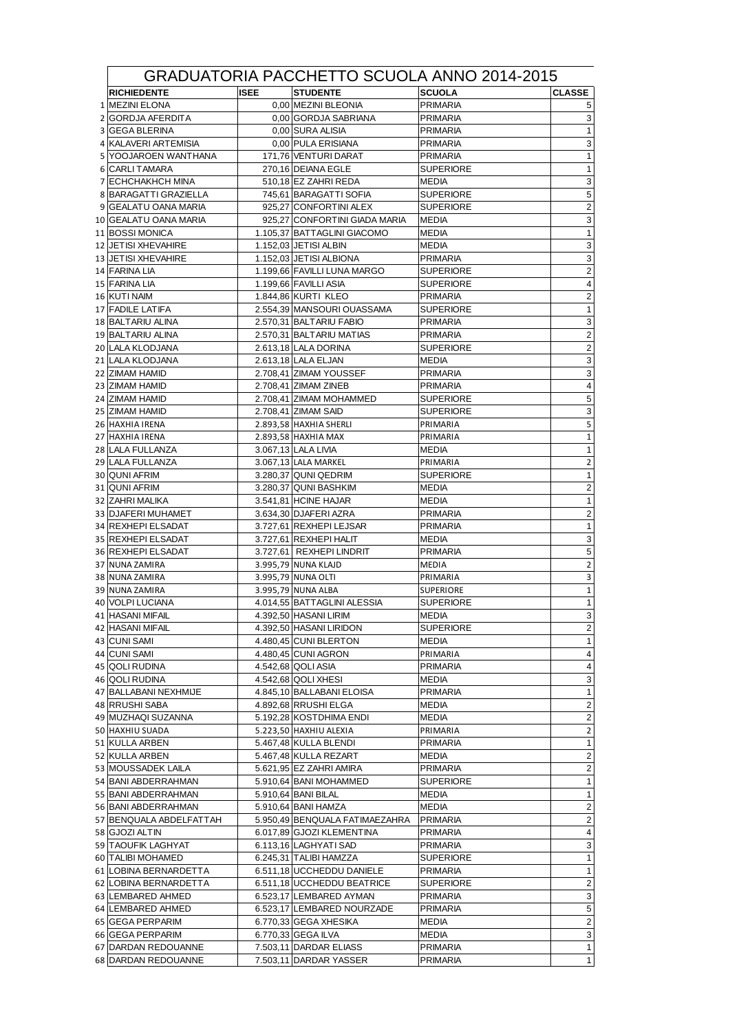| GRADUATORIA PACCHETTO SCUOLA ANNO 2014-2015   |             |                                                         |                                      |                               |  |  |  |  |  |
|-----------------------------------------------|-------------|---------------------------------------------------------|--------------------------------------|-------------------------------|--|--|--|--|--|
| <b>RICHIEDENTE</b>                            | <b>ISEE</b> | <b>STUDENTE</b>                                         | <b>SCUOLA</b>                        | <b>CLASSE</b>                 |  |  |  |  |  |
| 1 MEZINI ELONA                                |             | 0,00 MEZINI BLEONIA                                     | PRIMARIA                             | 5                             |  |  |  |  |  |
| 2 GORDJA AFERDITA                             |             | 0.00 GORDJA SABRIANA                                    | <b>PRIMARIA</b>                      | 3                             |  |  |  |  |  |
| 3 GEGA BLERINA                                |             | 0,00 SURA ALISIA                                        | <b>PRIMARIA</b>                      | 1                             |  |  |  |  |  |
| 4 KALAVERI ARTEMISIA                          |             | 0,00 PULA ERISIANA                                      | <b>PRIMARIA</b>                      | 3                             |  |  |  |  |  |
| 5 YOOJAROEN WANTHANA                          |             | 171,76 VENTURI DARAT                                    | <b>PRIMARIA</b>                      | $\mathbf{1}$                  |  |  |  |  |  |
| 6 CARLI TAMARA                                |             | 270,16 DEIANA EGLE                                      | <b>SUPERIORE</b>                     | 1                             |  |  |  |  |  |
| 7 ECHCHAKHCH MINA                             |             | 510,18 EZ ZAHRI REDA                                    | <b>MEDIA</b>                         | 3                             |  |  |  |  |  |
| 8 BARAGATTI GRAZIELLA                         |             | 745,61 BARAGATTI SOFIA                                  | <b>SUPERIORE</b>                     | $\,$ 5 $\,$<br>$\overline{2}$ |  |  |  |  |  |
| 9 GEALATU OANA MARIA<br>10 GEALATU OANA MARIA |             | 925,27 CONFORTINI ALEX<br>925,27 CONFORTINI GIADA MARIA | <b>SUPERIORE</b><br><b>MEDIA</b>     | $\ensuremath{\mathsf{3}}$     |  |  |  |  |  |
| 11 BOSSI MONICA                               |             | 1.105,37 BATTAGLINI GIACOMO                             | <b>MEDIA</b>                         | $\mathbf{1}$                  |  |  |  |  |  |
| 12 JETISI XHEVAHIRE                           |             | 1.152,03 JETISI ALBIN                                   | MEDIA                                | 3                             |  |  |  |  |  |
| 13 JETISI XHEVAHIRE                           |             | 1.152,03 JETISI ALBIONA                                 | PRIMARIA                             | 3                             |  |  |  |  |  |
| 14 FARINA LIA                                 |             | 1.199,66 FAVILLI LUNA MARGO                             | <b>SUPERIORE</b>                     | $\overline{c}$                |  |  |  |  |  |
| 15 FARINA LIA                                 |             | 1.199,66 FAVILLI ASIA                                   | <b>SUPERIORE</b>                     | 4                             |  |  |  |  |  |
| 16 KUTI NAIM                                  |             | 1.844,86 KURTI KLEO                                     | PRIMARIA                             | 2                             |  |  |  |  |  |
| 17 FADILE LATIFA                              |             | 2.554,39 MANSOURI OUASSAMA                              | <b>SUPERIORE</b>                     | $\mathbf{1}$                  |  |  |  |  |  |
| 18 BALTARIU ALINA                             |             | 2.570,31 BALTARIU FABIO                                 | <b>PRIMARIA</b>                      | 3                             |  |  |  |  |  |
| 19 BALTARIU ALINA                             |             | 2.570,31 BALTARIU MATIAS                                | <b>PRIMARIA</b>                      | 2                             |  |  |  |  |  |
| <b>20 LALA KLODJANA</b>                       |             | 2.613,18 LALA DORINA                                    | <b>SUPERIORE</b>                     | $\mathbf 2$                   |  |  |  |  |  |
| 21 LALA KLODJANA                              |             | 2.613,18 LALA ELJAN                                     | <b>MEDIA</b>                         | 3                             |  |  |  |  |  |
| 22 ZIMAM HAMID                                |             | 2.708.41 ZIMAM YOUSSEF                                  | <b>PRIMARIA</b>                      | 3                             |  |  |  |  |  |
| 23 ZIMAM HAMID                                |             | 2.708,41 ZIMAM ZINEB                                    | <b>PRIMARIA</b>                      | $\overline{4}$                |  |  |  |  |  |
| 24 ZIMAM HAMID                                |             | 2.708,41 ZIMAM MOHAMMED                                 | <b>SUPERIORE</b>                     | $\sqrt{5}$                    |  |  |  |  |  |
| 25 ZIMAM HAMID                                |             | 2.708,41 ZIMAM SAID                                     | <b>SUPERIORE</b>                     | $\ensuremath{\mathsf{3}}$     |  |  |  |  |  |
| 26 HAXHIA IRENA                               |             | 2.893,58 HAXHIA SHERLI                                  | PRIMARIA                             | 5<br>$\mathbf{1}$             |  |  |  |  |  |
| 27 HAXHIA IRENA<br>28 LALA FULLANZA           |             | 2.893,58 HAXHIA MAX<br>3.067,13 LALA LIVIA              | PRIMARIA<br>MEDIA                    | $\mathbf{1}$                  |  |  |  |  |  |
| 29 LALA FULLANZA                              |             | 3.067,13 LALA MARKEL                                    | PRIMARIA                             | $\overline{2}$                |  |  |  |  |  |
| 30 QUNI AFRIM                                 |             | 3.280,37 QUNI QEDRIM                                    | <b>SUPERIORE</b>                     | $\mathbf{1}$                  |  |  |  |  |  |
| 31 QUNI AFRIM                                 |             | 3.280,37 QUNI BASHKIM                                   | MEDIA                                | $\boldsymbol{2}$              |  |  |  |  |  |
| 32 ZAHRI MALIKA                               |             | 3.541,81 HCINE HAJAR                                    | MEDIA                                | $\mathbf{1}$                  |  |  |  |  |  |
| 33 DJAFERI MUHAMET                            |             | 3.634,30 DJAFERI AZRA                                   | <b>PRIMARIA</b>                      | $\overline{c}$                |  |  |  |  |  |
| 34 REXHEPI ELSADAT                            |             | 3.727,61 REXHEPI LEJSAR                                 | PRIMARIA                             | 1                             |  |  |  |  |  |
| 35 REXHEPI ELSADAT                            |             | 3.727,61 REXHEPI HALIT                                  | MEDIA                                | 3                             |  |  |  |  |  |
| 36 REXHEPI ELSADAT                            |             | 3.727,61 REXHEPI LINDRIT                                | <b>PRIMARIA</b>                      | 5                             |  |  |  |  |  |
| 37 NUNA ZAMIRA                                |             | 3.995,79 NUNA KLAJD                                     | MEDIA                                | $\overline{2}$                |  |  |  |  |  |
| 38 NUNA ZAMIRA                                |             | 3.995,79 NUNA OLTI                                      | PRIMARIA                             | 3                             |  |  |  |  |  |
| 39 NUNA ZAMIRA<br>40 VOLPI LUCIANA            |             | 3.995,79 NUNA ALBA                                      | <b>SUPERIORE</b><br><b>SUPERIORE</b> | $\mathbf{1}$                  |  |  |  |  |  |
| 41 HASANI MIFAIL                              |             | 4.014,55 BATTAGLINI ALESSIA<br>4.392,50 HASANI LIRIM    | <b>MEDIA</b>                         | $\mathbf{1}$<br>3             |  |  |  |  |  |
| 42 HASANI MIFAIL                              |             | 4.392,50 HASANI LIRIDON                                 | <b>SUPERIORE</b>                     | 2                             |  |  |  |  |  |
| 43 CUNI SAMI                                  |             | 4.480,45 CUNI BLERTON                                   | MEDIA                                | $\mathbf{1}$                  |  |  |  |  |  |
| 44 CUNI SAMI                                  |             | 4.480,45 CUNI AGRON                                     | PRIMARIA                             | 4                             |  |  |  |  |  |
| 45 QOLI RUDINA                                |             | 4.542,68 QOLI ASIA                                      | <b>PRIMARIA</b>                      | 4                             |  |  |  |  |  |
| 46 QOLI RUDINA                                |             | 4.542,68 QOLI XHESI                                     | <b>MEDIA</b>                         | 3                             |  |  |  |  |  |
| 47 BALLABANI NEXHMIJE                         |             | 4.845,10 BALLABANI ELOISA                               | <b>PRIMARIA</b>                      | $\mathbf{1}$                  |  |  |  |  |  |
| 48 RRUSHI SABA                                |             | 4.892,68 RRUSHI ELGA                                    | MEDIA                                | 2                             |  |  |  |  |  |
| 49 MUZHAQI SUZANNA                            |             | 5.192,28 KOSTDHIMA ENDI                                 | MEDIA                                | 2                             |  |  |  |  |  |
| 50 HAXHIU SUADA                               |             | 5.223,50 HAXHIU ALEXIA                                  | PRIMARIA                             | $\overline{2}$                |  |  |  |  |  |
| 51 KULLA ARBEN                                |             | 5.467,48 KULLA BLENDI                                   | <b>PRIMARIA</b>                      | 1                             |  |  |  |  |  |
| 52 KULLA ARBEN                                |             | 5.467,48 KULLA REZART                                   | MEDIA                                | 2                             |  |  |  |  |  |
| 53 MOUSSADEK LAILA                            |             | 5.621,95 EZ ZAHRI AMIRA                                 | PRIMARIA                             | 2                             |  |  |  |  |  |
| 54 BANI ABDERRAHMAN                           |             | 5.910,64 BANI MOHAMMED                                  | <b>SUPERIORE</b>                     | $\mathbf{1}$                  |  |  |  |  |  |
| 55 BANI ABDERRAHMAN<br>56 BANI ABDERRAHMAN    |             | 5.910,64 BANI BILAL<br>5.910,64 BANI HAMZA              | <b>MEDIA</b><br>MEDIA                | 1<br>$\overline{c}$           |  |  |  |  |  |
| 57 BENQUALA ABDELFATTAH                       |             | 5.950,49 BENQUALA FATIMAEZAHRA                          | PRIMARIA                             | $\overline{2}$                |  |  |  |  |  |
| 58 GJOZI ALTIN                                |             | 6.017,89 GJOZI KLEMENTINA                               | <b>PRIMARIA</b>                      | 4                             |  |  |  |  |  |
| 59 TAOUFIK LAGHYAT                            |             | 6.113,16 LAGHYATI SAD                                   | <b>PRIMARIA</b>                      | 3                             |  |  |  |  |  |
| 60 TALIBI MOHAMED                             |             | 6.245,31 TALIBI HAMZZA                                  | <b>SUPERIORE</b>                     | $\mathbf{1}$                  |  |  |  |  |  |
| 61 LOBINA BERNARDETTA                         |             | 6.511,18 UCCHEDDU DANIELE                               | PRIMARIA                             | $\mathbf{1}$                  |  |  |  |  |  |
| 62 LOBINA BERNARDETTA                         |             | 6.511,18 UCCHEDDU BEATRICE                              | <b>SUPERIORE</b>                     | $\overline{2}$                |  |  |  |  |  |
| 63 LEMBARED AHMED                             |             | 6.523,17 LEMBARED AYMAN                                 | <b>PRIMARIA</b>                      | 3                             |  |  |  |  |  |
| 64 LEMBARED AHMED                             |             | 6.523,17 LEMBARED NOURZADE                              | PRIMARIA                             | $\,$ 5 $\,$                   |  |  |  |  |  |
| 65 GEGA PERPARIM                              |             | 6.770,33 GEGA XHESIKA                                   | MEDIA                                | $\overline{2}$                |  |  |  |  |  |
| 66 GEGA PERPARIM                              |             | 6.770,33 GEGA ILVA                                      | MEDIA                                | 3                             |  |  |  |  |  |
| 67 DARDAN REDOUANNE                           |             | 7.503,11 DARDAR ELIASS                                  | PRIMARIA                             | 1                             |  |  |  |  |  |
| 68 DARDAN REDOUANNE                           |             | 7.503,11 DARDAR YASSER                                  | PRIMARIA                             | $\mathbf{1}$                  |  |  |  |  |  |